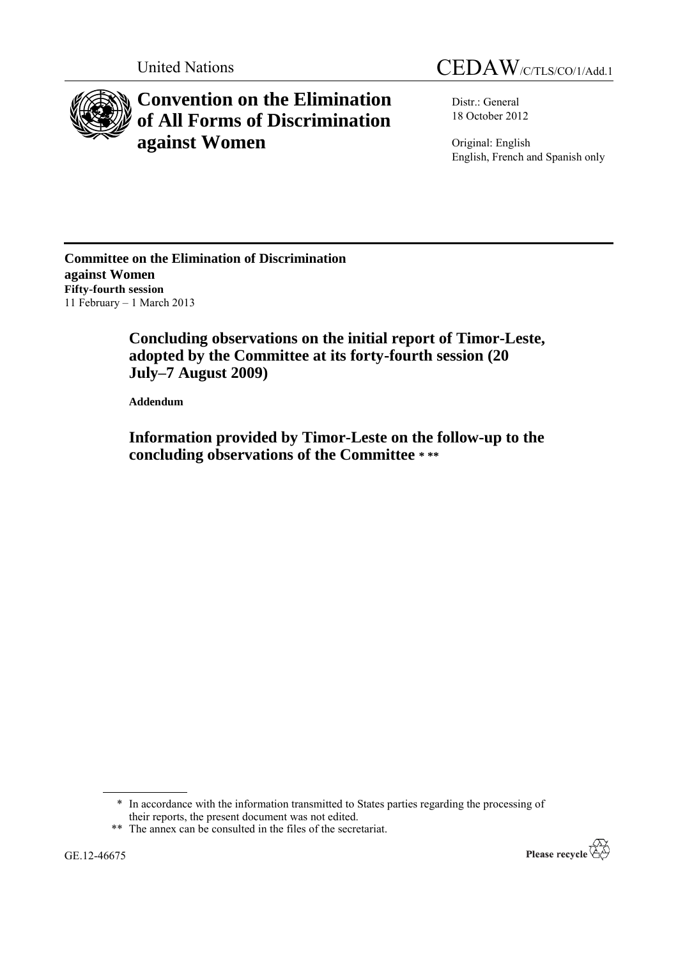



# **Convention on the Elimination of All Forms of Discrimination against Women**

Distr.: General 18 October 2012

Original: English English, French and Spanish only

**Committee on the Elimination of Discrimination against Women Fifty-fourth session** 11 February – 1 March 2013

> **Concluding observations on the initial report of Timor-Leste, adopted by the Committee at its forty-fourth session (20 July–7 August 2009)**

**Addendum**

**Information provided by Timor-Leste on the follow-up to the concluding observations of the Committee \* \*\***

\* In accordance with the information transmitted to States parties regarding the processing of their reports, the present document was not edited.

\*\* The annex can be consulted in the files of the secretariat.

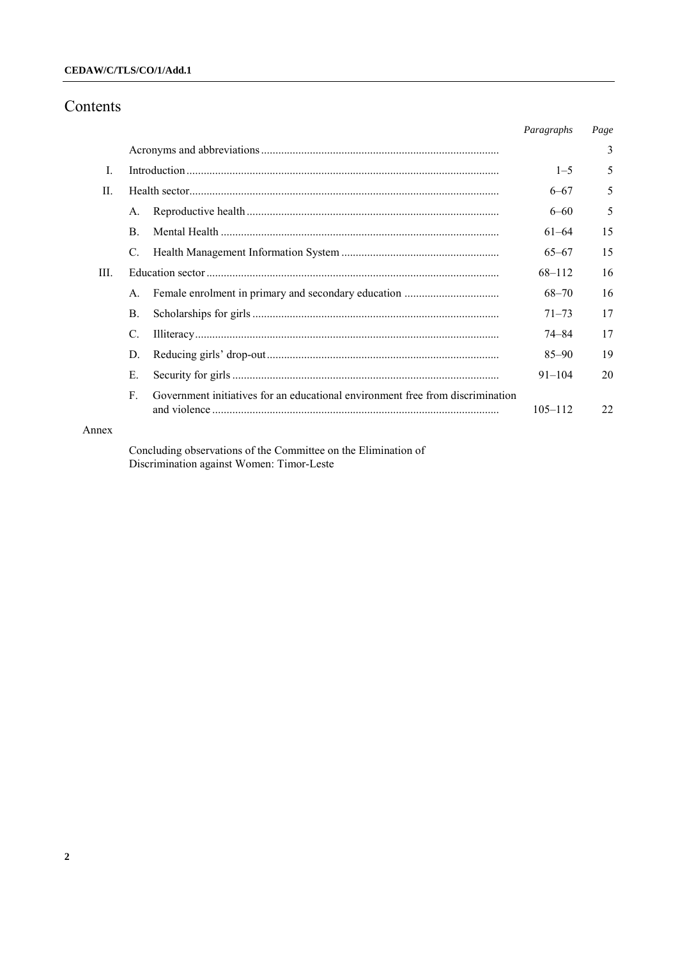### **CEDAW/C/TLS/CO/1/Add.1**

## Contents

|                |                |                                                                                | Paragraphs  | Page |
|----------------|----------------|--------------------------------------------------------------------------------|-------------|------|
|                |                |                                                                                |             | 3    |
| $\mathbf{I}$ . |                |                                                                                | $1 - 5$     | 5    |
| H.             |                |                                                                                | $6 - 67$    | 5    |
|                | A.             |                                                                                | $6 - 60$    | 5    |
|                | $\mathbf{B}$ . |                                                                                | 61-64       | 15   |
|                | C.             |                                                                                | $65 - 67$   | 15   |
| III.           |                |                                                                                | 68-112      | 16   |
|                | $A_{\cdot}$    |                                                                                | $68 - 70$   | 16   |
|                | <b>B.</b>      |                                                                                | $71 - 73$   | 17   |
|                | C.             |                                                                                | 74–84       | 17   |
|                | D.             |                                                                                | $85 - 90$   | 19   |
|                | Е.             |                                                                                | $91 - 104$  | 20   |
|                | F              | Government initiatives for an educational environment free from discrimination | $105 - 112$ | 22   |
| Annex          |                |                                                                                |             |      |

Concluding observations of the Committee on the Elimination of Discrimination against Women: Timor-Leste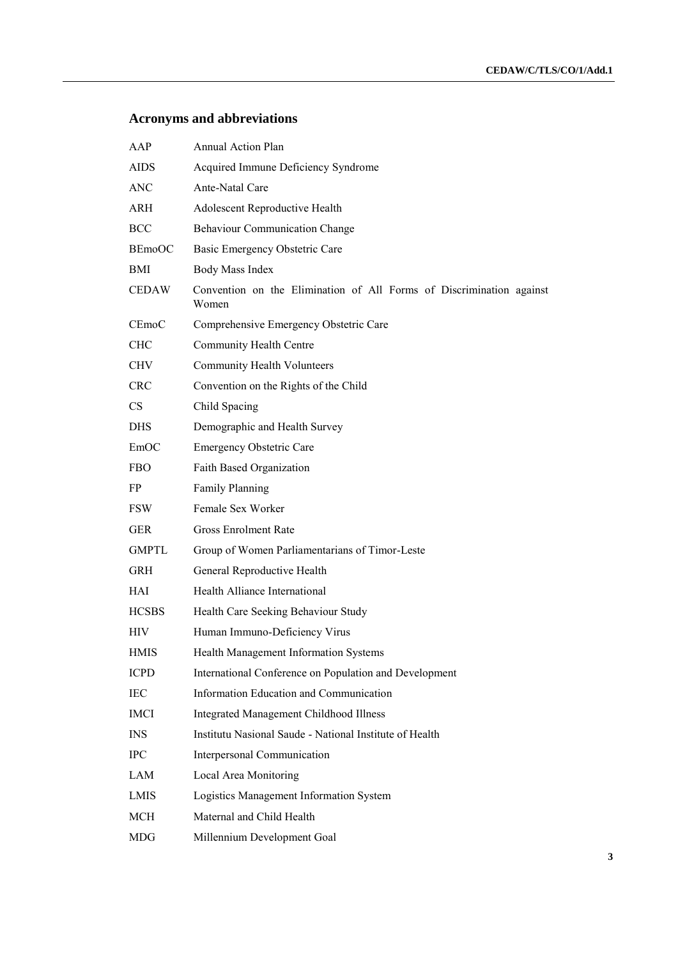## **Acronyms and abbreviations**

| AAP           | <b>Annual Action Plan</b>                                                     |
|---------------|-------------------------------------------------------------------------------|
| <b>AIDS</b>   | Acquired Immune Deficiency Syndrome                                           |
| <b>ANC</b>    | Ante-Natal Care                                                               |
| ARH           | Adolescent Reproductive Health                                                |
| <b>BCC</b>    | <b>Behaviour Communication Change</b>                                         |
| <b>BEmoOC</b> | Basic Emergency Obstetric Care                                                |
| BMI           | Body Mass Index                                                               |
| <b>CEDAW</b>  | Convention on the Elimination of All Forms of Discrimination against<br>Women |
| CEmoC         | Comprehensive Emergency Obstetric Care                                        |
| <b>CHC</b>    | Community Health Centre                                                       |
| <b>CHV</b>    | <b>Community Health Volunteers</b>                                            |
| <b>CRC</b>    | Convention on the Rights of the Child                                         |
| CS            | Child Spacing                                                                 |
| <b>DHS</b>    | Demographic and Health Survey                                                 |
| EmOC          | <b>Emergency Obstetric Care</b>                                               |
| <b>FBO</b>    | Faith Based Organization                                                      |
| FP.           | <b>Family Planning</b>                                                        |
| <b>FSW</b>    | Female Sex Worker                                                             |
| <b>GER</b>    | <b>Gross Enrolment Rate</b>                                                   |
| <b>GMPTL</b>  | Group of Women Parliamentarians of Timor-Leste                                |
| <b>GRH</b>    | General Reproductive Health                                                   |
| <b>HAI</b>    | Health Alliance International                                                 |
| <b>HCSBS</b>  | Health Care Seeking Behaviour Study                                           |
| <b>HIV</b>    | Human Immuno-Deficiency Virus                                                 |
| <b>HMIS</b>   | Health Management Information Systems                                         |
| <b>ICPD</b>   | International Conference on Population and Development                        |
| IEC           | Information Education and Communication                                       |
| <b>IMCI</b>   | <b>Integrated Management Childhood Illness</b>                                |
| <b>INS</b>    | Institutu Nasional Saude - National Institute of Health                       |
| <b>IPC</b>    | Interpersonal Communication                                                   |
| LAM           | Local Area Monitoring                                                         |
| LMIS          | Logistics Management Information System                                       |
| <b>MCH</b>    | Maternal and Child Health                                                     |
| MDG           | Millennium Development Goal                                                   |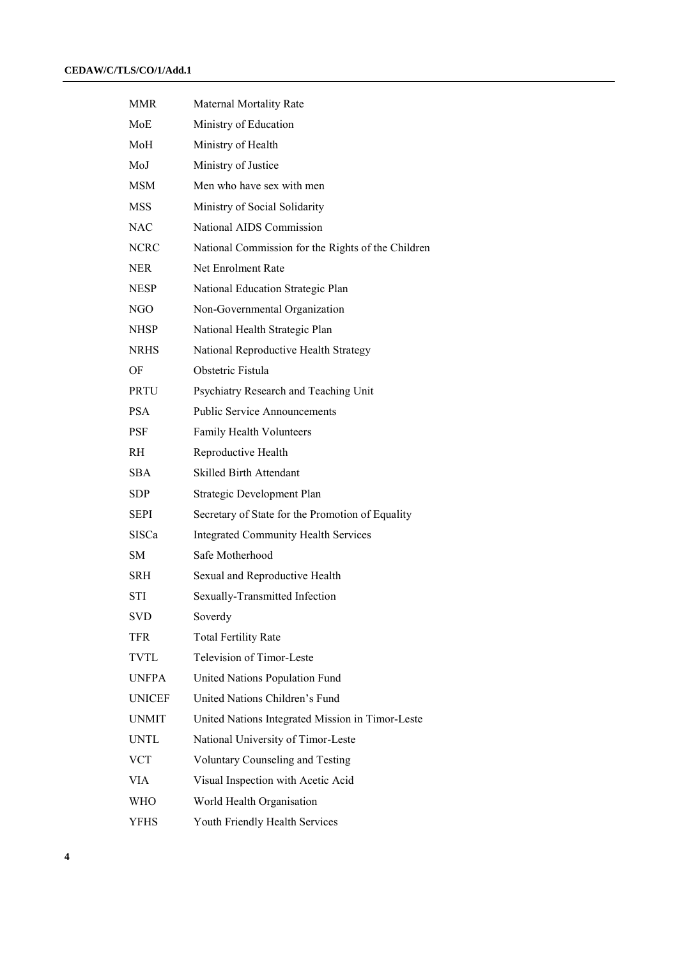| <b>MMR</b>    | <b>Maternal Mortality Rate</b>                     |
|---------------|----------------------------------------------------|
| MoE           | Ministry of Education                              |
| MoH           | Ministry of Health                                 |
| MoJ           | Ministry of Justice                                |
| <b>MSM</b>    | Men who have sex with men                          |
| <b>MSS</b>    | Ministry of Social Solidarity                      |
| <b>NAC</b>    | National AIDS Commission                           |
| <b>NCRC</b>   | National Commission for the Rights of the Children |
| <b>NER</b>    | Net Enrolment Rate                                 |
| <b>NESP</b>   | National Education Strategic Plan                  |
| NGO           | Non-Governmental Organization                      |
| <b>NHSP</b>   | National Health Strategic Plan                     |
| <b>NRHS</b>   | National Reproductive Health Strategy              |
| OF            | Obstetric Fistula                                  |
| <b>PRTU</b>   | Psychiatry Research and Teaching Unit              |
| <b>PSA</b>    | <b>Public Service Announcements</b>                |
| <b>PSF</b>    | <b>Family Health Volunteers</b>                    |
| <b>RH</b>     | Reproductive Health                                |
| <b>SBA</b>    | <b>Skilled Birth Attendant</b>                     |
| SDP           | Strategic Development Plan                         |
| <b>SEPI</b>   | Secretary of State for the Promotion of Equality   |
| <b>SISCa</b>  | <b>Integrated Community Health Services</b>        |
| <b>SM</b>     | Safe Motherhood                                    |
| SRH           | Sexual and Reproductive Health                     |
| STI           | Sexually-Transmitted Infection                     |
| SVD           | Soverdy                                            |
| TFR           | <b>Total Fertility Rate</b>                        |
| TVTL          | <b>Television of Timor-Leste</b>                   |
| <b>UNFPA</b>  | United Nations Population Fund                     |
| <b>UNICEF</b> | United Nations Children's Fund                     |
| <b>UNMIT</b>  | United Nations Integrated Mission in Timor-Leste   |
| <b>UNTL</b>   | National University of Timor-Leste                 |
| <b>VCT</b>    | Voluntary Counseling and Testing                   |
| <b>VIA</b>    | Visual Inspection with Acetic Acid                 |
| WHO           | World Health Organisation                          |
| <b>YFHS</b>   | Youth Friendly Health Services                     |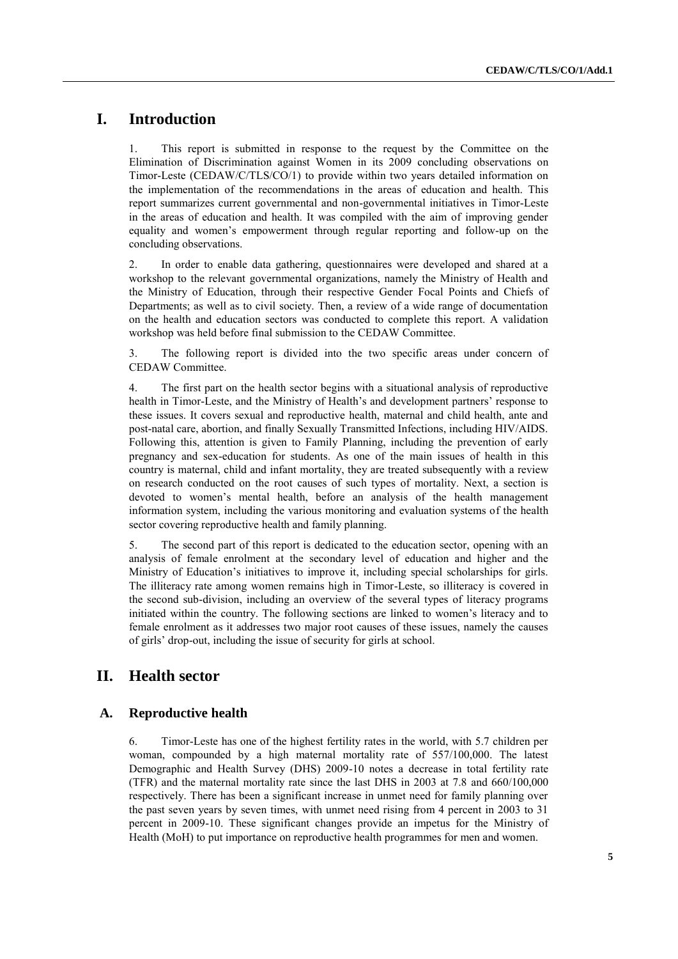## **I. Introduction**

1. This report is submitted in response to the request by the Committee on the Elimination of Discrimination against Women in its 2009 concluding observations on Timor-Leste (CEDAW/C/TLS/CO/1) to provide within two years detailed information on the implementation of the recommendations in the areas of education and health. This report summarizes current governmental and non-governmental initiatives in Timor-Leste in the areas of education and health. It was compiled with the aim of improving gender equality and women's empowerment through regular reporting and follow-up on the concluding observations.

2. In order to enable data gathering, questionnaires were developed and shared at a workshop to the relevant governmental organizations, namely the Ministry of Health and the Ministry of Education, through their respective Gender Focal Points and Chiefs of Departments; as well as to civil society. Then, a review of a wide range of documentation on the health and education sectors was conducted to complete this report. A validation workshop was held before final submission to the CEDAW Committee.

3. The following report is divided into the two specific areas under concern of CEDAW Committee.

4. The first part on the health sector begins with a situational analysis of reproductive health in Timor-Leste, and the Ministry of Health's and development partners' response to these issues. It covers sexual and reproductive health, maternal and child health, ante and post-natal care, abortion, and finally Sexually Transmitted Infections, including HIV/AIDS. Following this, attention is given to Family Planning, including the prevention of early pregnancy and sex-education for students. As one of the main issues of health in this country is maternal, child and infant mortality, they are treated subsequently with a review on research conducted on the root causes of such types of mortality. Next, a section is devoted to women's mental health, before an analysis of the health management information system, including the various monitoring and evaluation systems of the health sector covering reproductive health and family planning.

5. The second part of this report is dedicated to the education sector, opening with an analysis of female enrolment at the secondary level of education and higher and the Ministry of Education's initiatives to improve it, including special scholarships for girls. The illiteracy rate among women remains high in Timor-Leste, so illiteracy is covered in the second sub-division, including an overview of the several types of literacy programs initiated within the country. The following sections are linked to women's literacy and to female enrolment as it addresses two major root causes of these issues, namely the causes of girls' drop-out, including the issue of security for girls at school.

## **II. Health sector**

#### **A. Reproductive health**

6. Timor-Leste has one of the highest fertility rates in the world, with 5.7 children per woman, compounded by a high maternal mortality rate of 557/100,000. The latest Demographic and Health Survey (DHS) 2009-10 notes a decrease in total fertility rate (TFR) and the maternal mortality rate since the last DHS in 2003 at 7.8 and 660/100,000 respectively. There has been a significant increase in unmet need for family planning over the past seven years by seven times, with unmet need rising from 4 percent in 2003 to 31 percent in 2009-10. These significant changes provide an impetus for the Ministry of Health (MoH) to put importance on reproductive health programmes for men and women.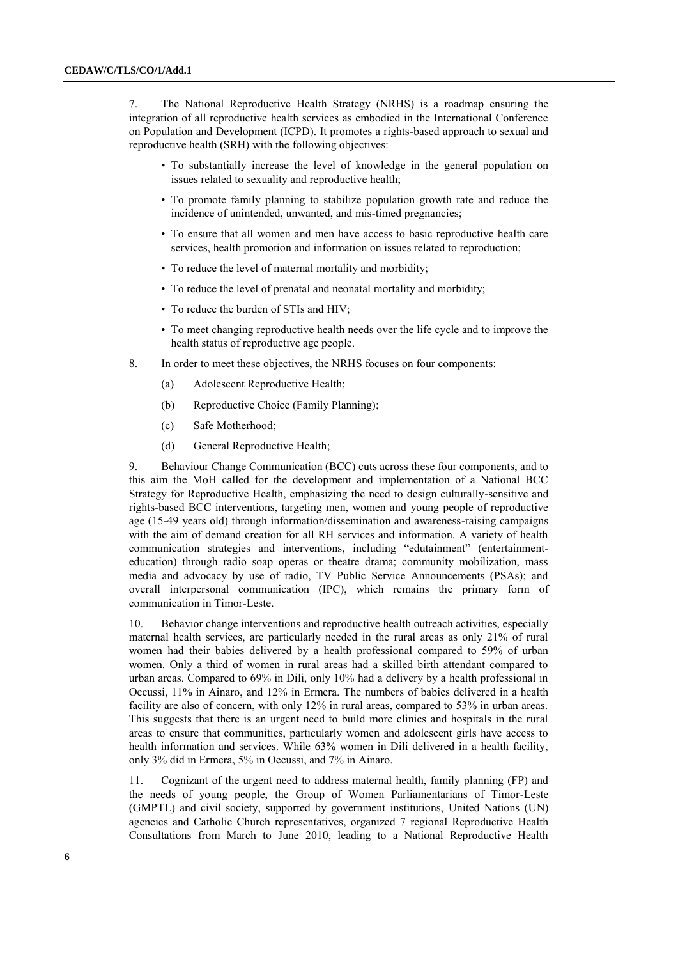7. The National Reproductive Health Strategy (NRHS) is a roadmap ensuring the integration of all reproductive health services as embodied in the International Conference on Population and Development (ICPD). It promotes a rights-based approach to sexual and reproductive health (SRH) with the following objectives:

- To substantially increase the level of knowledge in the general population on issues related to sexuality and reproductive health;
- To promote family planning to stabilize population growth rate and reduce the incidence of unintended, unwanted, and mis-timed pregnancies;
- To ensure that all women and men have access to basic reproductive health care services, health promotion and information on issues related to reproduction;
- To reduce the level of maternal mortality and morbidity;
- To reduce the level of prenatal and neonatal mortality and morbidity;
- To reduce the burden of STIs and HIV;
- To meet changing reproductive health needs over the life cycle and to improve the health status of reproductive age people.
- 8. In order to meet these objectives, the NRHS focuses on four components:
	- (a) Adolescent Reproductive Health;
	- (b) Reproductive Choice (Family Planning);
	- (c) Safe Motherhood;
	- (d) General Reproductive Health;

9. Behaviour Change Communication (BCC) cuts across these four components, and to this aim the MoH called for the development and implementation of a National BCC Strategy for Reproductive Health, emphasizing the need to design culturally-sensitive and rights-based BCC interventions, targeting men, women and young people of reproductive age (15-49 years old) through information/dissemination and awareness-raising campaigns with the aim of demand creation for all RH services and information. A variety of health communication strategies and interventions, including "edutainment" (entertainmenteducation) through radio soap operas or theatre drama; community mobilization, mass media and advocacy by use of radio, TV Public Service Announcements (PSAs); and overall interpersonal communication (IPC), which remains the primary form of communication in Timor-Leste.

10. Behavior change interventions and reproductive health outreach activities, especially maternal health services, are particularly needed in the rural areas as only 21% of rural women had their babies delivered by a health professional compared to 59% of urban women. Only a third of women in rural areas had a skilled birth attendant compared to urban areas. Compared to 69% in Dili, only 10% had a delivery by a health professional in Oecussi, 11% in Ainaro, and 12% in Ermera. The numbers of babies delivered in a health facility are also of concern, with only 12% in rural areas, compared to 53% in urban areas. This suggests that there is an urgent need to build more clinics and hospitals in the rural areas to ensure that communities, particularly women and adolescent girls have access to health information and services. While 63% women in Dili delivered in a health facility, only 3% did in Ermera, 5% in Oecussi, and 7% in Ainaro.

11. Cognizant of the urgent need to address maternal health, family planning (FP) and the needs of young people, the Group of Women Parliamentarians of Timor-Leste (GMPTL) and civil society, supported by government institutions, United Nations (UN) agencies and Catholic Church representatives, organized 7 regional Reproductive Health Consultations from March to June 2010, leading to a National Reproductive Health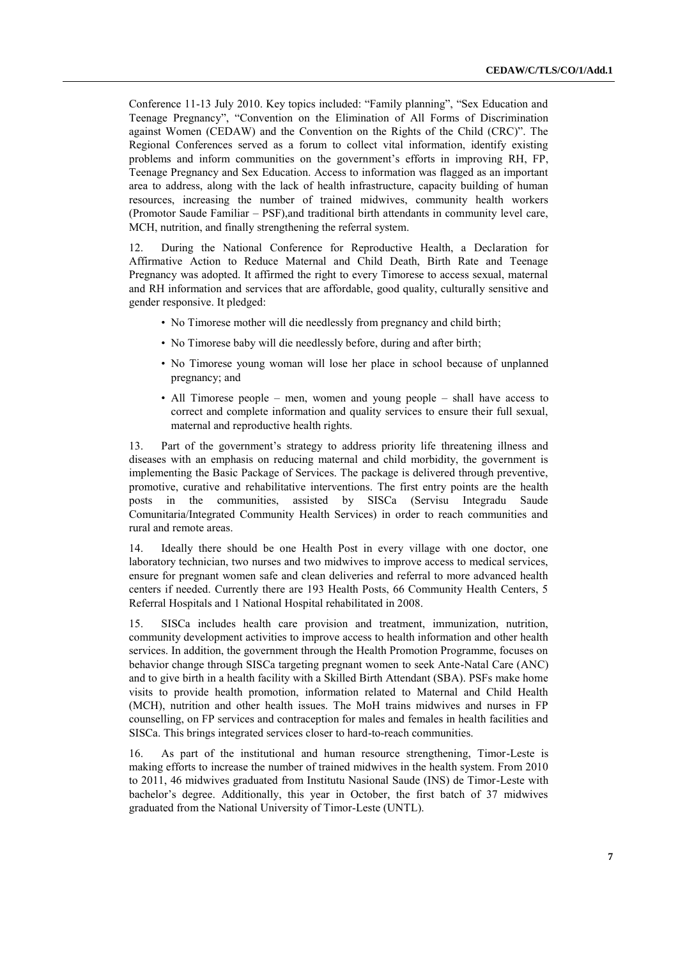Conference 11-13 July 2010. Key topics included: "Family planning", "Sex Education and Teenage Pregnancy", "Convention on the Elimination of All Forms of Discrimination against Women (CEDAW) and the Convention on the Rights of the Child (CRC)". The Regional Conferences served as a forum to collect vital information, identify existing problems and inform communities on the government's efforts in improving RH, FP, Teenage Pregnancy and Sex Education. Access to information was flagged as an important area to address, along with the lack of health infrastructure, capacity building of human resources, increasing the number of trained midwives, community health workers (Promotor Saude Familiar – PSF),and traditional birth attendants in community level care, MCH, nutrition, and finally strengthening the referral system.

12. During the National Conference for Reproductive Health, a Declaration for Affirmative Action to Reduce Maternal and Child Death, Birth Rate and Teenage Pregnancy was adopted. It affirmed the right to every Timorese to access sexual, maternal and RH information and services that are affordable, good quality, culturally sensitive and gender responsive. It pledged:

- No Timorese mother will die needlessly from pregnancy and child birth;
- No Timorese baby will die needlessly before, during and after birth;
- No Timorese young woman will lose her place in school because of unplanned pregnancy; and
- All Timorese people men, women and young people shall have access to correct and complete information and quality services to ensure their full sexual, maternal and reproductive health rights.

13. Part of the government's strategy to address priority life threatening illness and diseases with an emphasis on reducing maternal and child morbidity, the government is implementing the Basic Package of Services. The package is delivered through preventive, promotive, curative and rehabilitative interventions. The first entry points are the health posts in the communities, assisted by SISCa (Servisu Integradu Saude Comunitaria/Integrated Community Health Services) in order to reach communities and rural and remote areas.

14. Ideally there should be one Health Post in every village with one doctor, one laboratory technician, two nurses and two midwives to improve access to medical services, ensure for pregnant women safe and clean deliveries and referral to more advanced health centers if needed. Currently there are 193 Health Posts, 66 Community Health Centers, 5 Referral Hospitals and 1 National Hospital rehabilitated in 2008.

15. SISCa includes health care provision and treatment, immunization, nutrition, community development activities to improve access to health information and other health services. In addition, the government through the Health Promotion Programme, focuses on behavior change through SISCa targeting pregnant women to seek Ante-Natal Care (ANC) and to give birth in a health facility with a Skilled Birth Attendant (SBA). PSFs make home visits to provide health promotion, information related to Maternal and Child Health (MCH), nutrition and other health issues. The MoH trains midwives and nurses in FP counselling, on FP services and contraception for males and females in health facilities and SISCa. This brings integrated services closer to hard-to-reach communities.

16. As part of the institutional and human resource strengthening, Timor-Leste is making efforts to increase the number of trained midwives in the health system. From 2010 to 2011, 46 midwives graduated from Institutu Nasional Saude (INS) de Timor-Leste with bachelor's degree. Additionally, this year in October, the first batch of 37 midwives graduated from the National University of Timor-Leste (UNTL).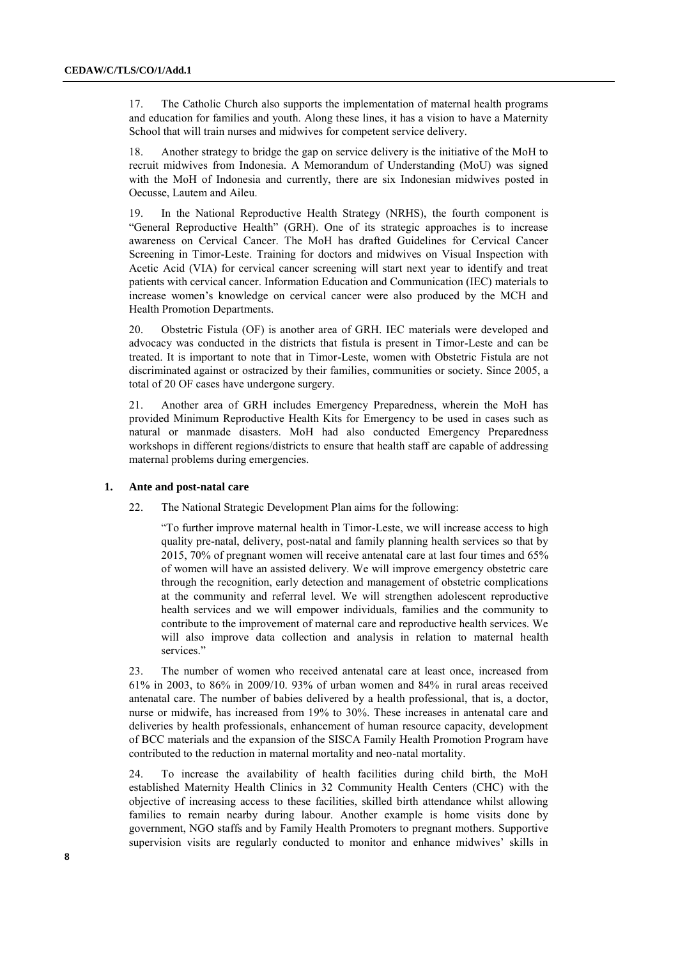17. The Catholic Church also supports the implementation of maternal health programs and education for families and youth. Along these lines, it has a vision to have a Maternity School that will train nurses and midwives for competent service delivery.

18. Another strategy to bridge the gap on service delivery is the initiative of the MoH to recruit midwives from Indonesia. A Memorandum of Understanding (MoU) was signed with the MoH of Indonesia and currently, there are six Indonesian midwives posted in Oecusse, Lautem and Aileu.

19. In the National Reproductive Health Strategy (NRHS), the fourth component is "General Reproductive Health" (GRH). One of its strategic approaches is to increase awareness on Cervical Cancer. The MoH has drafted Guidelines for Cervical Cancer Screening in Timor-Leste. Training for doctors and midwives on Visual Inspection with Acetic Acid (VIA) for cervical cancer screening will start next year to identify and treat patients with cervical cancer. Information Education and Communication (IEC) materials to increase women's knowledge on cervical cancer were also produced by the MCH and Health Promotion Departments.

20. Obstetric Fistula (OF) is another area of GRH. IEC materials were developed and advocacy was conducted in the districts that fistula is present in Timor-Leste and can be treated. It is important to note that in Timor-Leste, women with Obstetric Fistula are not discriminated against or ostracized by their families, communities or society. Since 2005, a total of 20 OF cases have undergone surgery.

21. Another area of GRH includes Emergency Preparedness, wherein the MoH has provided Minimum Reproductive Health Kits for Emergency to be used in cases such as natural or manmade disasters. MoH had also conducted Emergency Preparedness workshops in different regions/districts to ensure that health staff are capable of addressing maternal problems during emergencies.

#### **1. Ante and post-natal care**

22. The National Strategic Development Plan aims for the following:

"To further improve maternal health in Timor-Leste, we will increase access to high quality pre-natal, delivery, post-natal and family planning health services so that by 2015, 70% of pregnant women will receive antenatal care at last four times and 65% of women will have an assisted delivery. We will improve emergency obstetric care through the recognition, early detection and management of obstetric complications at the community and referral level. We will strengthen adolescent reproductive health services and we will empower individuals, families and the community to contribute to the improvement of maternal care and reproductive health services. We will also improve data collection and analysis in relation to maternal health services."

23. The number of women who received antenatal care at least once, increased from 61% in 2003, to 86% in 2009/10. 93% of urban women and 84% in rural areas received antenatal care. The number of babies delivered by a health professional, that is, a doctor, nurse or midwife, has increased from 19% to 30%. These increases in antenatal care and deliveries by health professionals, enhancement of human resource capacity, development of BCC materials and the expansion of the SISCA Family Health Promotion Program have contributed to the reduction in maternal mortality and neo-natal mortality.

24. To increase the availability of health facilities during child birth, the MoH established Maternity Health Clinics in 32 Community Health Centers (CHC) with the objective of increasing access to these facilities, skilled birth attendance whilst allowing families to remain nearby during labour. Another example is home visits done by government, NGO staffs and by Family Health Promoters to pregnant mothers. Supportive supervision visits are regularly conducted to monitor and enhance midwives' skills in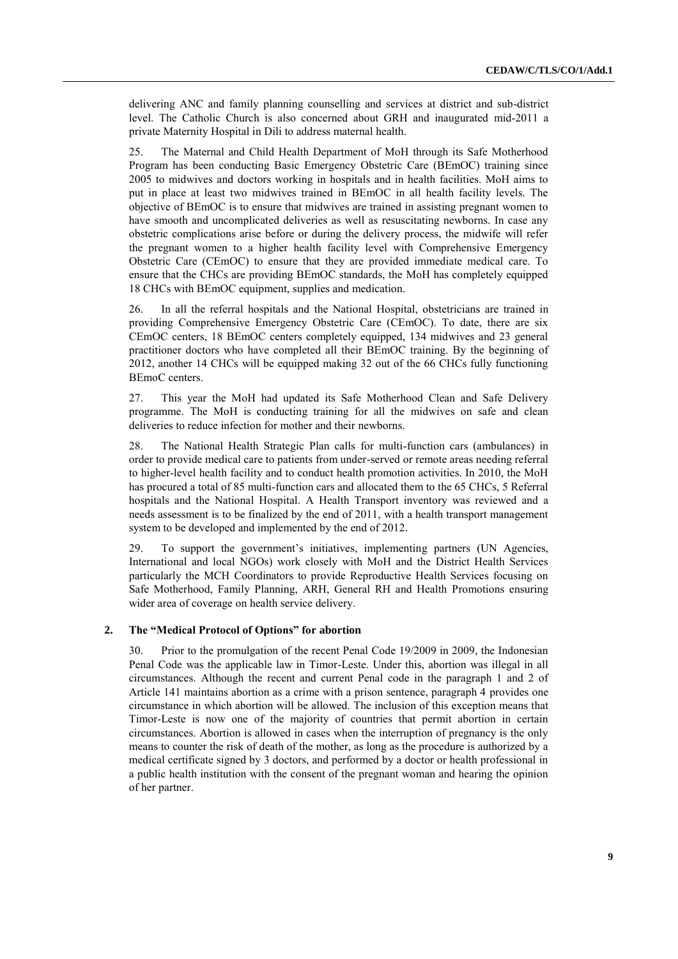delivering ANC and family planning counselling and services at district and sub-district level. The Catholic Church is also concerned about GRH and inaugurated mid-2011 a private Maternity Hospital in Dili to address maternal health.

25. The Maternal and Child Health Department of MoH through its Safe Motherhood Program has been conducting Basic Emergency Obstetric Care (BEmOC) training since 2005 to midwives and doctors working in hospitals and in health facilities. MoH aims to put in place at least two midwives trained in BEmOC in all health facility levels. The objective of BEmOC is to ensure that midwives are trained in assisting pregnant women to have smooth and uncomplicated deliveries as well as resuscitating newborns. In case any obstetric complications arise before or during the delivery process, the midwife will refer the pregnant women to a higher health facility level with Comprehensive Emergency Obstetric Care (CEmOC) to ensure that they are provided immediate medical care. To ensure that the CHCs are providing BEmOC standards, the MoH has completely equipped 18 CHCs with BEmOC equipment, supplies and medication.

26. In all the referral hospitals and the National Hospital, obstetricians are trained in providing Comprehensive Emergency Obstetric Care (CEmOC). To date, there are six CEmOC centers, 18 BEmOC centers completely equipped, 134 midwives and 23 general practitioner doctors who have completed all their BEmOC training. By the beginning of 2012, another 14 CHCs will be equipped making 32 out of the 66 CHCs fully functioning BEmoC centers.

27. This year the MoH had updated its Safe Motherhood Clean and Safe Delivery programme. The MoH is conducting training for all the midwives on safe and clean deliveries to reduce infection for mother and their newborns.

28. The National Health Strategic Plan calls for multi-function cars (ambulances) in order to provide medical care to patients from under-served or remote areas needing referral to higher-level health facility and to conduct health promotion activities. In 2010, the MoH has procured a total of 85 multi-function cars and allocated them to the 65 CHCs, 5 Referral hospitals and the National Hospital. A Health Transport inventory was reviewed and a needs assessment is to be finalized by the end of 2011, with a health transport management system to be developed and implemented by the end of 2012.

29. To support the government's initiatives, implementing partners (UN Agencies, International and local NGOs) work closely with MoH and the District Health Services particularly the MCH Coordinators to provide Reproductive Health Services focusing on Safe Motherhood, Family Planning, ARH, General RH and Health Promotions ensuring wider area of coverage on health service delivery.

#### **2. The "Medical Protocol of Options" for abortion**

30. Prior to the promulgation of the recent Penal Code 19/2009 in 2009, the Indonesian Penal Code was the applicable law in Timor-Leste. Under this, abortion was illegal in all circumstances. Although the recent and current Penal code in the paragraph 1 and 2 of Article 141 maintains abortion as a crime with a prison sentence, paragraph 4 provides one circumstance in which abortion will be allowed. The inclusion of this exception means that Timor-Leste is now one of the majority of countries that permit abortion in certain circumstances. Abortion is allowed in cases when the interruption of pregnancy is the only means to counter the risk of death of the mother, as long as the procedure is authorized by a medical certificate signed by 3 doctors, and performed by a doctor or health professional in a public health institution with the consent of the pregnant woman and hearing the opinion of her partner.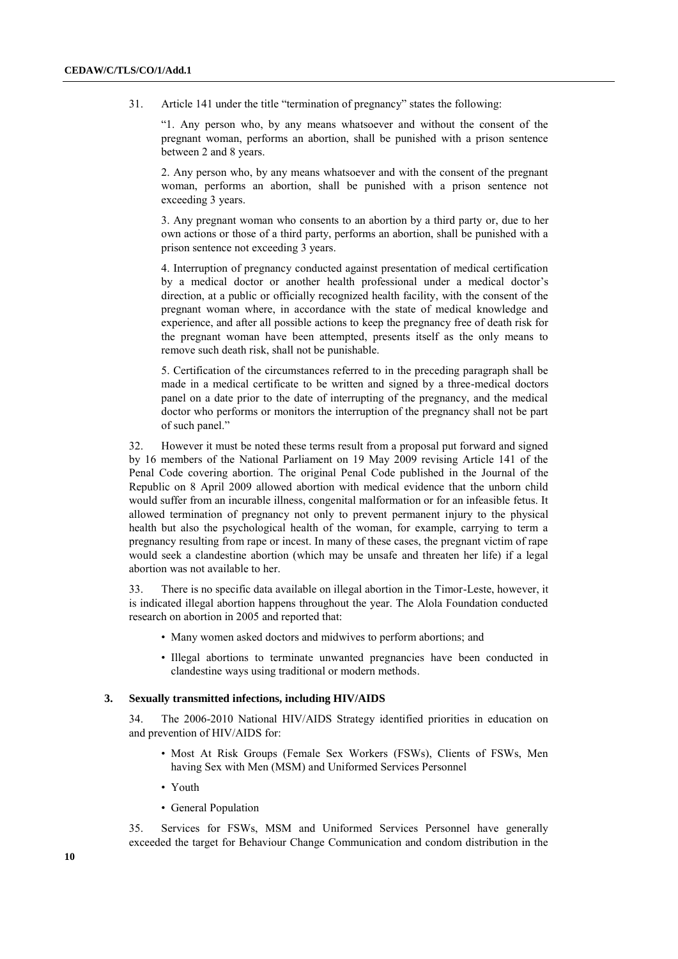31. Article 141 under the title "termination of pregnancy" states the following:

"1. Any person who, by any means whatsoever and without the consent of the pregnant woman, performs an abortion, shall be punished with a prison sentence between 2 and 8 years.

2. Any person who, by any means whatsoever and with the consent of the pregnant woman, performs an abortion, shall be punished with a prison sentence not exceeding 3 years.

3. Any pregnant woman who consents to an abortion by a third party or, due to her own actions or those of a third party, performs an abortion, shall be punished with a prison sentence not exceeding 3 years.

4. Interruption of pregnancy conducted against presentation of medical certification by a medical doctor or another health professional under a medical doctor's direction, at a public or officially recognized health facility, with the consent of the pregnant woman where, in accordance with the state of medical knowledge and experience, and after all possible actions to keep the pregnancy free of death risk for the pregnant woman have been attempted, presents itself as the only means to remove such death risk, shall not be punishable.

5. Certification of the circumstances referred to in the preceding paragraph shall be made in a medical certificate to be written and signed by a three-medical doctors panel on a date prior to the date of interrupting of the pregnancy, and the medical doctor who performs or monitors the interruption of the pregnancy shall not be part of such panel."

32. However it must be noted these terms result from a proposal put forward and signed by 16 members of the National Parliament on 19 May 2009 revising Article 141 of the Penal Code covering abortion. The original Penal Code published in the Journal of the Republic on 8 April 2009 allowed abortion with medical evidence that the unborn child would suffer from an incurable illness, congenital malformation or for an infeasible fetus. It allowed termination of pregnancy not only to prevent permanent injury to the physical health but also the psychological health of the woman, for example, carrying to term a pregnancy resulting from rape or incest. In many of these cases, the pregnant victim of rape would seek a clandestine abortion (which may be unsafe and threaten her life) if a legal abortion was not available to her.

33. There is no specific data available on illegal abortion in the Timor-Leste, however, it is indicated illegal abortion happens throughout the year. The Alola Foundation conducted research on abortion in 2005 and reported that:

- Many women asked doctors and midwives to perform abortions; and
- Illegal abortions to terminate unwanted pregnancies have been conducted in clandestine ways using traditional or modern methods.

#### **3. Sexually transmitted infections, including HIV/AIDS**

34. The 2006-2010 National HIV/AIDS Strategy identified priorities in education on and prevention of HIV/AIDS for:

- Most At Risk Groups (Female Sex Workers (FSWs), Clients of FSWs, Men having Sex with Men (MSM) and Uniformed Services Personnel
- Youth
- General Population

35. Services for FSWs, MSM and Uniformed Services Personnel have generally exceeded the target for Behaviour Change Communication and condom distribution in the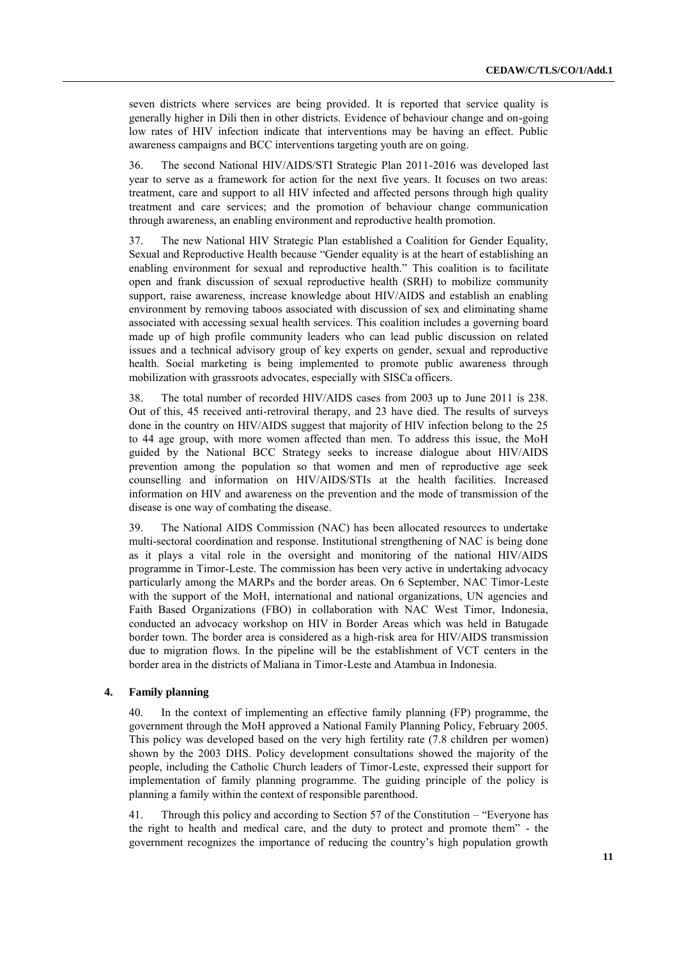seven districts where services are being provided. It is reported that service quality is generally higher in Dili then in other districts. Evidence of behaviour change and on-going low rates of HIV infection indicate that interventions may be having an effect. Public awareness campaigns and BCC interventions targeting youth are on going.

36. The second National HIV/AIDS/STI Strategic Plan 2011-2016 was developed last year to serve as a framework for action for the next five years. It focuses on two areas: treatment, care and support to all HIV infected and affected persons through high quality treatment and care services; and the promotion of behaviour change communication through awareness, an enabling environment and reproductive health promotion.

37. The new National HIV Strategic Plan established a Coalition for Gender Equality, Sexual and Reproductive Health because "Gender equality is at the heart of establishing an enabling environment for sexual and reproductive health." This coalition is to facilitate open and frank discussion of sexual reproductive health (SRH) to mobilize community support, raise awareness, increase knowledge about HIV/AIDS and establish an enabling environment by removing taboos associated with discussion of sex and eliminating shame associated with accessing sexual health services. This coalition includes a governing board made up of high profile community leaders who can lead public discussion on related issues and a technical advisory group of key experts on gender, sexual and reproductive health. Social marketing is being implemented to promote public awareness through mobilization with grassroots advocates, especially with SISCa officers.

38. The total number of recorded HIV/AIDS cases from 2003 up to June 2011 is 238. Out of this, 45 received anti-retroviral therapy, and 23 have died. The results of surveys done in the country on HIV/AIDS suggest that majority of HIV infection belong to the 25 to 44 age group, with more women affected than men. To address this issue, the MoH guided by the National BCC Strategy seeks to increase dialogue about HIV/AIDS prevention among the population so that women and men of reproductive age seek counselling and information on HIV/AIDS/STIs at the health facilities. Increased information on HIV and awareness on the prevention and the mode of transmission of the disease is one way of combating the disease.

39. The National AIDS Commission (NAC) has been allocated resources to undertake multi-sectoral coordination and response. Institutional strengthening of NAC is being done as it plays a vital role in the oversight and monitoring of the national HIV/AIDS programme in Timor-Leste. The commission has been very active in undertaking advocacy particularly among the MARPs and the border areas. On 6 September, NAC Timor-Leste with the support of the MoH, international and national organizations, UN agencies and Faith Based Organizations (FBO) in collaboration with NAC West Timor, Indonesia, conducted an advocacy workshop on HIV in Border Areas which was held in Batugade border town. The border area is considered as a high-risk area for HIV/AIDS transmission due to migration flows. In the pipeline will be the establishment of VCT centers in the border area in the districts of Maliana in Timor-Leste and Atambua in Indonesia.

#### **4. Family planning**

40. In the context of implementing an effective family planning (FP) programme, the government through the MoH approved a National Family Planning Policy, February 2005. This policy was developed based on the very high fertility rate (7.8 children per women) shown by the 2003 DHS. Policy development consultations showed the majority of the people, including the Catholic Church leaders of Timor-Leste, expressed their support for implementation of family planning programme. The guiding principle of the policy is planning a family within the context of responsible parenthood.

41. Through this policy and according to Section 57 of the Constitution – "Everyone has the right to health and medical care, and the duty to protect and promote them" - the government recognizes the importance of reducing the country's high population growth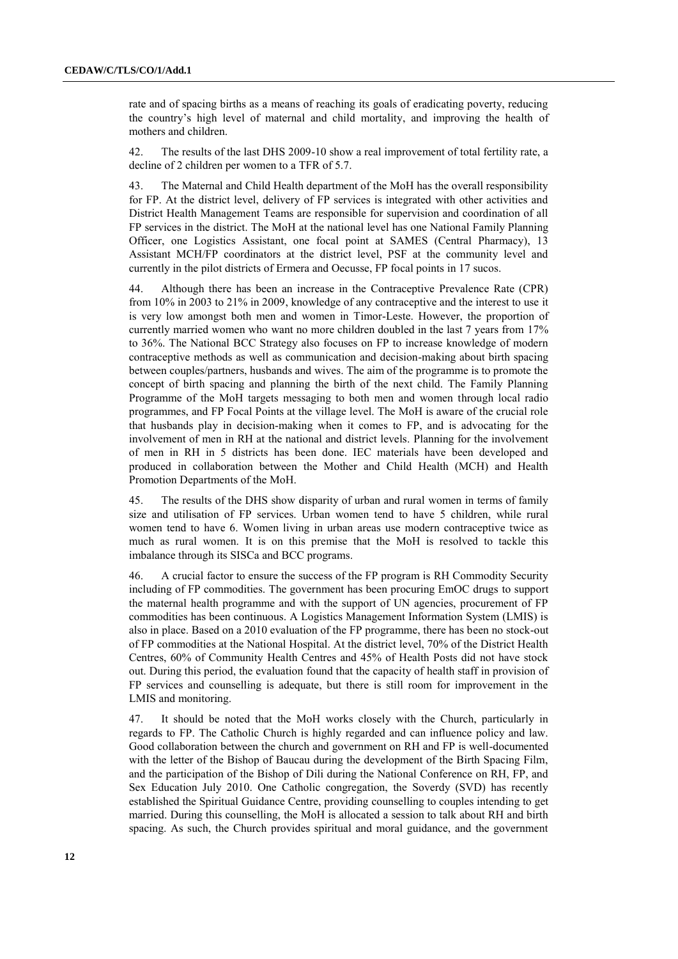rate and of spacing births as a means of reaching its goals of eradicating poverty, reducing the country's high level of maternal and child mortality, and improving the health of mothers and children.

42. The results of the last DHS 2009-10 show a real improvement of total fertility rate, a decline of 2 children per women to a TFR of 5.7.

43. The Maternal and Child Health department of the MoH has the overall responsibility for FP. At the district level, delivery of FP services is integrated with other activities and District Health Management Teams are responsible for supervision and coordination of all FP services in the district. The MoH at the national level has one National Family Planning Officer, one Logistics Assistant, one focal point at SAMES (Central Pharmacy), 13 Assistant MCH/FP coordinators at the district level, PSF at the community level and currently in the pilot districts of Ermera and Oecusse, FP focal points in 17 sucos.

44. Although there has been an increase in the Contraceptive Prevalence Rate (CPR) from 10% in 2003 to 21% in 2009, knowledge of any contraceptive and the interest to use it is very low amongst both men and women in Timor-Leste. However, the proportion of currently married women who want no more children doubled in the last 7 years from 17% to 36%. The National BCC Strategy also focuses on FP to increase knowledge of modern contraceptive methods as well as communication and decision-making about birth spacing between couples/partners, husbands and wives. The aim of the programme is to promote the concept of birth spacing and planning the birth of the next child. The Family Planning Programme of the MoH targets messaging to both men and women through local radio programmes, and FP Focal Points at the village level. The MoH is aware of the crucial role that husbands play in decision-making when it comes to FP, and is advocating for the involvement of men in RH at the national and district levels. Planning for the involvement of men in RH in 5 districts has been done. IEC materials have been developed and produced in collaboration between the Mother and Child Health (MCH) and Health Promotion Departments of the MoH.

45. The results of the DHS show disparity of urban and rural women in terms of family size and utilisation of FP services. Urban women tend to have 5 children, while rural women tend to have 6. Women living in urban areas use modern contraceptive twice as much as rural women. It is on this premise that the MoH is resolved to tackle this imbalance through its SISCa and BCC programs.

46. A crucial factor to ensure the success of the FP program is RH Commodity Security including of FP commodities. The government has been procuring EmOC drugs to support the maternal health programme and with the support of UN agencies, procurement of FP commodities has been continuous. A Logistics Management Information System (LMIS) is also in place. Based on a 2010 evaluation of the FP programme, there has been no stock-out of FP commodities at the National Hospital. At the district level, 70% of the District Health Centres, 60% of Community Health Centres and 45% of Health Posts did not have stock out. During this period, the evaluation found that the capacity of health staff in provision of FP services and counselling is adequate, but there is still room for improvement in the LMIS and monitoring.

47. It should be noted that the MoH works closely with the Church, particularly in regards to FP. The Catholic Church is highly regarded and can influence policy and law. Good collaboration between the church and government on RH and FP is well-documented with the letter of the Bishop of Baucau during the development of the Birth Spacing Film, and the participation of the Bishop of Dili during the National Conference on RH, FP, and Sex Education July 2010. One Catholic congregation, the Soverdy (SVD) has recently established the Spiritual Guidance Centre, providing counselling to couples intending to get married. During this counselling, the MoH is allocated a session to talk about RH and birth spacing. As such, the Church provides spiritual and moral guidance, and the government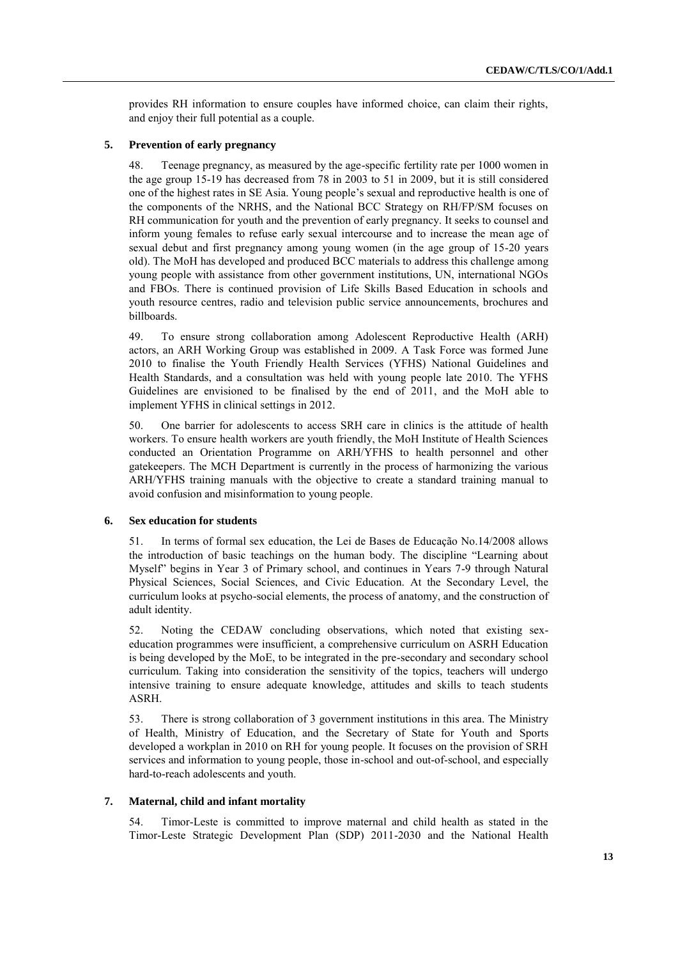provides RH information to ensure couples have informed choice, can claim their rights, and enjoy their full potential as a couple.

#### **5. Prevention of early pregnancy**

48. Teenage pregnancy, as measured by the age-specific fertility rate per 1000 women in the age group 15-19 has decreased from 78 in 2003 to 51 in 2009, but it is still considered one of the highest rates in SE Asia. Young people's sexual and reproductive health is one of the components of the NRHS, and the National BCC Strategy on RH/FP/SM focuses on RH communication for youth and the prevention of early pregnancy. It seeks to counsel and inform young females to refuse early sexual intercourse and to increase the mean age of sexual debut and first pregnancy among young women (in the age group of 15-20 years old). The MoH has developed and produced BCC materials to address this challenge among young people with assistance from other government institutions, UN, international NGOs and FBOs. There is continued provision of Life Skills Based Education in schools and youth resource centres, radio and television public service announcements, brochures and billboards.

49. To ensure strong collaboration among Adolescent Reproductive Health (ARH) actors, an ARH Working Group was established in 2009. A Task Force was formed June 2010 to finalise the Youth Friendly Health Services (YFHS) National Guidelines and Health Standards, and a consultation was held with young people late 2010. The YFHS Guidelines are envisioned to be finalised by the end of 2011, and the MoH able to implement YFHS in clinical settings in 2012.

50. One barrier for adolescents to access SRH care in clinics is the attitude of health workers. To ensure health workers are youth friendly, the MoH Institute of Health Sciences conducted an Orientation Programme on ARH/YFHS to health personnel and other gatekeepers. The MCH Department is currently in the process of harmonizing the various ARH/YFHS training manuals with the objective to create a standard training manual to avoid confusion and misinformation to young people.

#### **6. Sex education for students**

51. In terms of formal sex education, the Lei de Bases de Educação No.14/2008 allows the introduction of basic teachings on the human body. The discipline "Learning about Myself" begins in Year 3 of Primary school, and continues in Years 7-9 through Natural Physical Sciences, Social Sciences, and Civic Education. At the Secondary Level, the curriculum looks at psycho-social elements, the process of anatomy, and the construction of adult identity.

52. Noting the CEDAW concluding observations, which noted that existing sexeducation programmes were insufficient, a comprehensive curriculum on ASRH Education is being developed by the MoE, to be integrated in the pre-secondary and secondary school curriculum. Taking into consideration the sensitivity of the topics, teachers will undergo intensive training to ensure adequate knowledge, attitudes and skills to teach students ASRH.

53. There is strong collaboration of 3 government institutions in this area. The Ministry of Health, Ministry of Education, and the Secretary of State for Youth and Sports developed a workplan in 2010 on RH for young people. It focuses on the provision of SRH services and information to young people, those in-school and out-of-school, and especially hard-to-reach adolescents and youth.

#### **7. Maternal, child and infant mortality**

54. Timor-Leste is committed to improve maternal and child health as stated in the Timor-Leste Strategic Development Plan (SDP) 2011-2030 and the National Health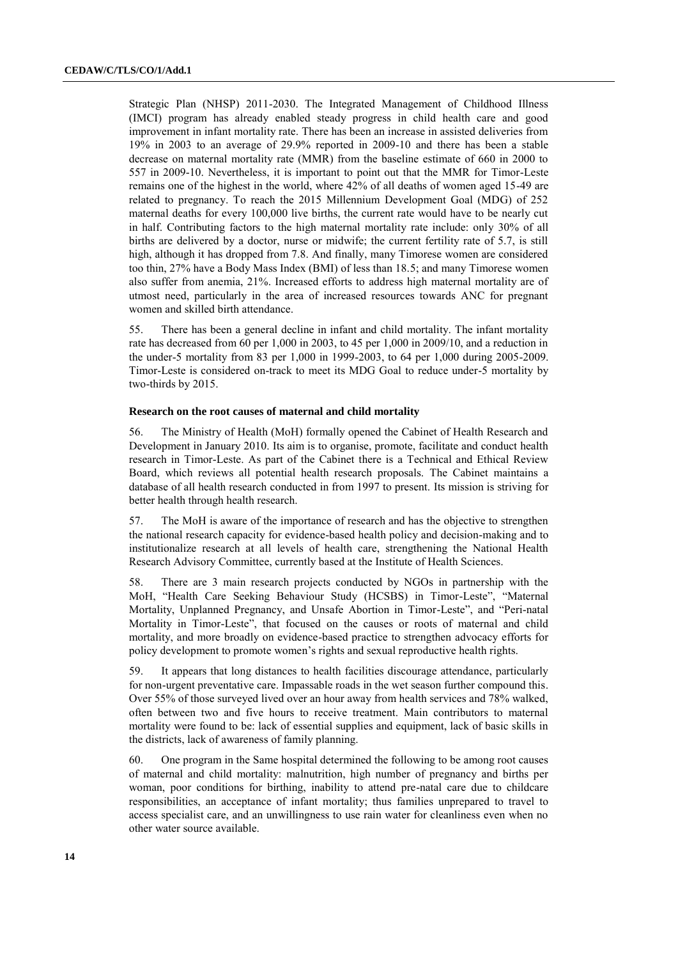Strategic Plan (NHSP) 2011-2030. The Integrated Management of Childhood Illness (IMCI) program has already enabled steady progress in child health care and good improvement in infant mortality rate. There has been an increase in assisted deliveries from 19% in 2003 to an average of 29.9% reported in 2009-10 and there has been a stable decrease on maternal mortality rate (MMR) from the baseline estimate of 660 in 2000 to 557 in 2009-10. Nevertheless, it is important to point out that the MMR for Timor-Leste remains one of the highest in the world, where 42% of all deaths of women aged 15-49 are related to pregnancy. To reach the 2015 Millennium Development Goal (MDG) of 252 maternal deaths for every 100,000 live births, the current rate would have to be nearly cut in half. Contributing factors to the high maternal mortality rate include: only 30% of all births are delivered by a doctor, nurse or midwife; the current fertility rate of 5.7, is still high, although it has dropped from 7.8. And finally, many Timorese women are considered too thin, 27% have a Body Mass Index (BMI) of less than 18.5; and many Timorese women also suffer from anemia, 21%. Increased efforts to address high maternal mortality are of utmost need, particularly in the area of increased resources towards ANC for pregnant women and skilled birth attendance.

55. There has been a general decline in infant and child mortality. The infant mortality rate has decreased from 60 per 1,000 in 2003, to 45 per 1,000 in 2009/10, and a reduction in the under-5 mortality from 83 per 1,000 in 1999-2003, to 64 per 1,000 during 2005-2009. Timor-Leste is considered on-track to meet its MDG Goal to reduce under-5 mortality by two-thirds by 2015.

#### **Research on the root causes of maternal and child mortality**

56. The Ministry of Health (MoH) formally opened the Cabinet of Health Research and Development in January 2010. Its aim is to organise, promote, facilitate and conduct health research in Timor-Leste. As part of the Cabinet there is a Technical and Ethical Review Board, which reviews all potential health research proposals. The Cabinet maintains a database of all health research conducted in from 1997 to present. Its mission is striving for better health through health research.

57. The MoH is aware of the importance of research and has the objective to strengthen the national research capacity for evidence-based health policy and decision-making and to institutionalize research at all levels of health care, strengthening the National Health Research Advisory Committee, currently based at the Institute of Health Sciences.

58. There are 3 main research projects conducted by NGOs in partnership with the MoH, "Health Care Seeking Behaviour Study (HCSBS) in Timor-Leste", "Maternal Mortality, Unplanned Pregnancy, and Unsafe Abortion in Timor-Leste", and "Peri-natal Mortality in Timor-Leste", that focused on the causes or roots of maternal and child mortality, and more broadly on evidence-based practice to strengthen advocacy efforts for policy development to promote women's rights and sexual reproductive health rights.

59. It appears that long distances to health facilities discourage attendance, particularly for non-urgent preventative care. Impassable roads in the wet season further compound this. Over 55% of those surveyed lived over an hour away from health services and 78% walked, often between two and five hours to receive treatment. Main contributors to maternal mortality were found to be: lack of essential supplies and equipment, lack of basic skills in the districts, lack of awareness of family planning.

60. One program in the Same hospital determined the following to be among root causes of maternal and child mortality: malnutrition, high number of pregnancy and births per woman, poor conditions for birthing, inability to attend pre-natal care due to childcare responsibilities, an acceptance of infant mortality; thus families unprepared to travel to access specialist care, and an unwillingness to use rain water for cleanliness even when no other water source available.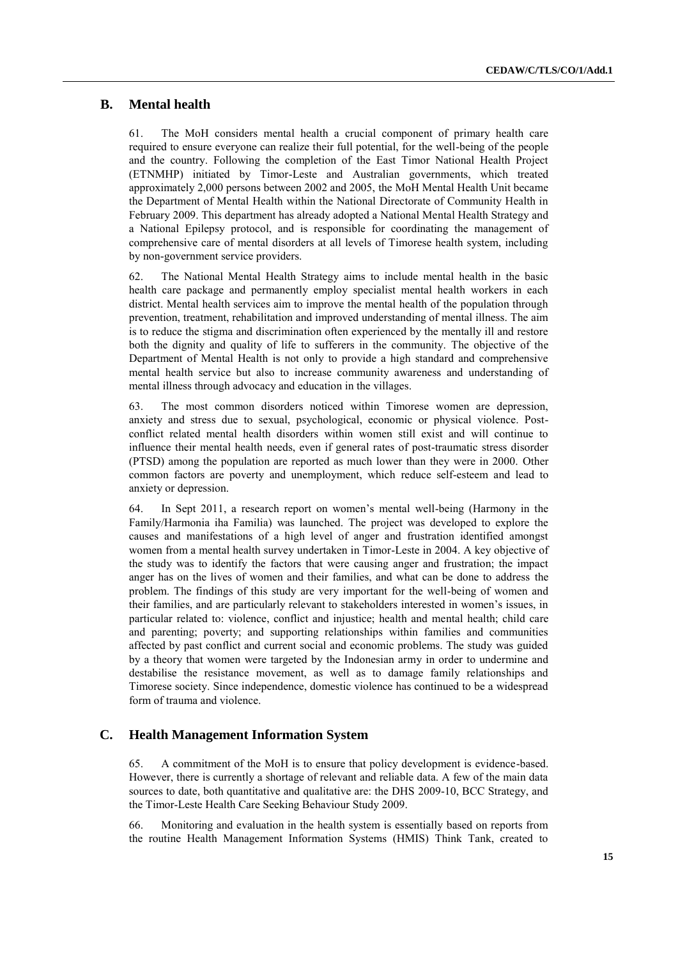### **B. Mental health**

61. The MoH considers mental health a crucial component of primary health care required to ensure everyone can realize their full potential, for the well-being of the people and the country. Following the completion of the East Timor National Health Project (ETNMHP) initiated by Timor-Leste and Australian governments, which treated approximately 2,000 persons between 2002 and 2005, the MoH Mental Health Unit became the Department of Mental Health within the National Directorate of Community Health in February 2009. This department has already adopted a National Mental Health Strategy and a National Epilepsy protocol, and is responsible for coordinating the management of comprehensive care of mental disorders at all levels of Timorese health system, including by non-government service providers.

62. The National Mental Health Strategy aims to include mental health in the basic health care package and permanently employ specialist mental health workers in each district. Mental health services aim to improve the mental health of the population through prevention, treatment, rehabilitation and improved understanding of mental illness. The aim is to reduce the stigma and discrimination often experienced by the mentally ill and restore both the dignity and quality of life to sufferers in the community. The objective of the Department of Mental Health is not only to provide a high standard and comprehensive mental health service but also to increase community awareness and understanding of mental illness through advocacy and education in the villages.

63. The most common disorders noticed within Timorese women are depression, anxiety and stress due to sexual, psychological, economic or physical violence. Postconflict related mental health disorders within women still exist and will continue to influence their mental health needs, even if general rates of post-traumatic stress disorder (PTSD) among the population are reported as much lower than they were in 2000. Other common factors are poverty and unemployment, which reduce self-esteem and lead to anxiety or depression.

64. In Sept 2011, a research report on women's mental well-being (Harmony in the Family/Harmonia iha Familia) was launched. The project was developed to explore the causes and manifestations of a high level of anger and frustration identified amongst women from a mental health survey undertaken in Timor-Leste in 2004. A key objective of the study was to identify the factors that were causing anger and frustration; the impact anger has on the lives of women and their families, and what can be done to address the problem. The findings of this study are very important for the well-being of women and their families, and are particularly relevant to stakeholders interested in women's issues, in particular related to: violence, conflict and injustice; health and mental health; child care and parenting; poverty; and supporting relationships within families and communities affected by past conflict and current social and economic problems. The study was guided by a theory that women were targeted by the Indonesian army in order to undermine and destabilise the resistance movement, as well as to damage family relationships and Timorese society. Since independence, domestic violence has continued to be a widespread form of trauma and violence.

### **C. Health Management Information System**

65. A commitment of the MoH is to ensure that policy development is evidence-based. However, there is currently a shortage of relevant and reliable data. A few of the main data sources to date, both quantitative and qualitative are: the DHS 2009-10, BCC Strategy, and the Timor-Leste Health Care Seeking Behaviour Study 2009.

66. Monitoring and evaluation in the health system is essentially based on reports from the routine Health Management Information Systems (HMIS) Think Tank, created to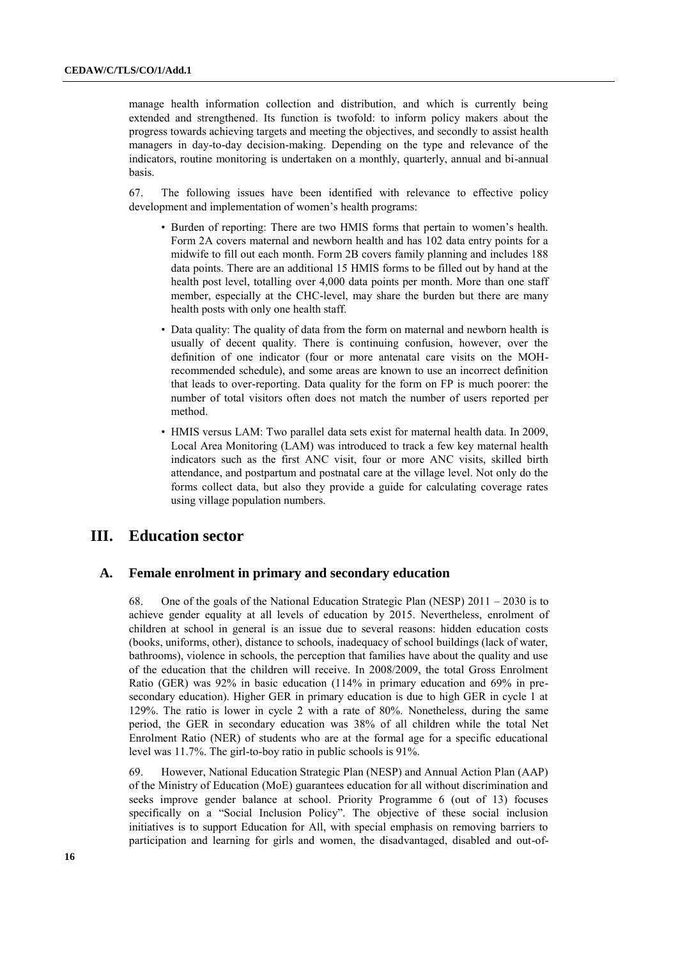manage health information collection and distribution, and which is currently being extended and strengthened. Its function is twofold: to inform policy makers about the progress towards achieving targets and meeting the objectives, and secondly to assist health managers in day-to-day decision-making. Depending on the type and relevance of the indicators, routine monitoring is undertaken on a monthly, quarterly, annual and bi-annual basis.

67. The following issues have been identified with relevance to effective policy development and implementation of women's health programs:

- Burden of reporting: There are two HMIS forms that pertain to women's health. Form 2A covers maternal and newborn health and has 102 data entry points for a midwife to fill out each month. Form 2B covers family planning and includes 188 data points. There are an additional 15 HMIS forms to be filled out by hand at the health post level, totalling over 4,000 data points per month. More than one staff member, especially at the CHC-level, may share the burden but there are many health posts with only one health staff.
- Data quality: The quality of data from the form on maternal and newborn health is usually of decent quality. There is continuing confusion, however, over the definition of one indicator (four or more antenatal care visits on the MOHrecommended schedule), and some areas are known to use an incorrect definition that leads to over-reporting. Data quality for the form on FP is much poorer: the number of total visitors often does not match the number of users reported per method.
- HMIS versus LAM: Two parallel data sets exist for maternal health data. In 2009, Local Area Monitoring (LAM) was introduced to track a few key maternal health indicators such as the first ANC visit, four or more ANC visits, skilled birth attendance, and postpartum and postnatal care at the village level. Not only do the forms collect data, but also they provide a guide for calculating coverage rates using village population numbers.

## **III. Education sector**

### **A. Female enrolment in primary and secondary education**

68. One of the goals of the National Education Strategic Plan (NESP) 2011 – 2030 is to achieve gender equality at all levels of education by 2015. Nevertheless, enrolment of children at school in general is an issue due to several reasons: hidden education costs (books, uniforms, other), distance to schools, inadequacy of school buildings (lack of water, bathrooms), violence in schools, the perception that families have about the quality and use of the education that the children will receive. In 2008/2009, the total Gross Enrolment Ratio (GER) was 92% in basic education (114% in primary education and 69% in presecondary education). Higher GER in primary education is due to high GER in cycle 1 at 129%. The ratio is lower in cycle 2 with a rate of 80%. Nonetheless, during the same period, the GER in secondary education was 38% of all children while the total Net Enrolment Ratio (NER) of students who are at the formal age for a specific educational level was 11.7%. The girl-to-boy ratio in public schools is 91%.

69. However, National Education Strategic Plan (NESP) and Annual Action Plan (AAP) of the Ministry of Education (MoE) guarantees education for all without discrimination and seeks improve gender balance at school. Priority Programme 6 (out of 13) focuses specifically on a "Social Inclusion Policy". The objective of these social inclusion initiatives is to support Education for All, with special emphasis on removing barriers to participation and learning for girls and women, the disadvantaged, disabled and out-of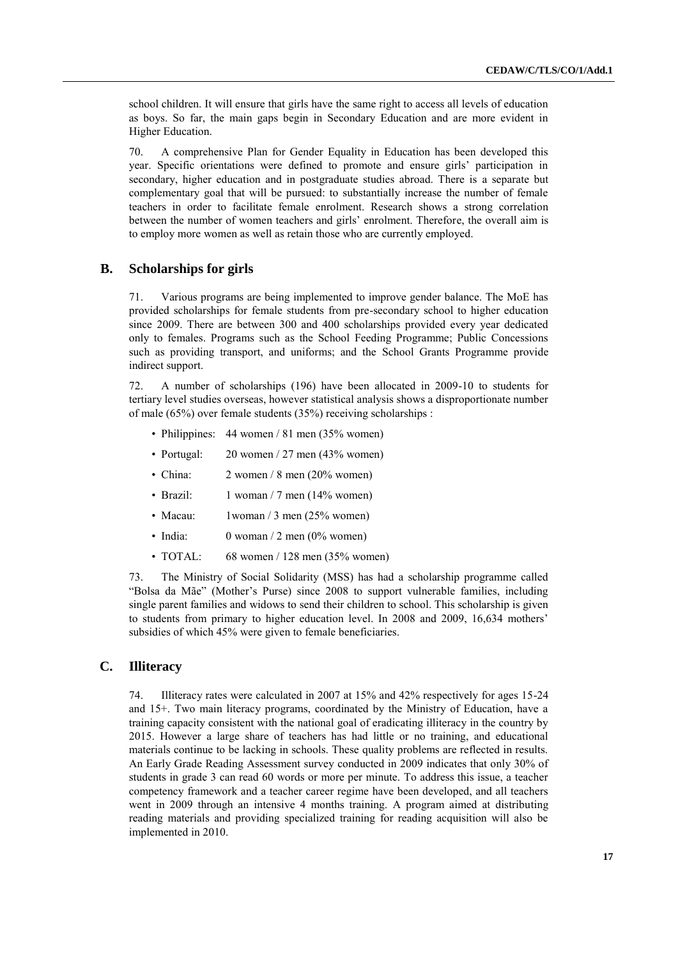school children. It will ensure that girls have the same right to access all levels of education as boys. So far, the main gaps begin in Secondary Education and are more evident in Higher Education.

70. A comprehensive Plan for Gender Equality in Education has been developed this year. Specific orientations were defined to promote and ensure girls' participation in secondary, higher education and in postgraduate studies abroad. There is a separate but complementary goal that will be pursued: to substantially increase the number of female teachers in order to facilitate female enrolment. Research shows a strong correlation between the number of women teachers and girls' enrolment. Therefore, the overall aim is to employ more women as well as retain those who are currently employed.

## **B. Scholarships for girls**

71. Various programs are being implemented to improve gender balance. The MoE has provided scholarships for female students from pre-secondary school to higher education since 2009. There are between 300 and 400 scholarships provided every year dedicated only to females. Programs such as the School Feeding Programme; Public Concessions such as providing transport, and uniforms; and the School Grants Programme provide indirect support.

72. A number of scholarships (196) have been allocated in 2009-10 to students for tertiary level studies overseas, however statistical analysis shows a disproportionate number of male (65%) over female students (35%) receiving scholarships :

- Philippines: 44 women / 81 men (35% women)
- Portugal:  $20$  women / 27 men (43% women)
- China: 2 women / 8 men (20% women)
- Brazil:  $1$  woman / 7 men (14% women)
- Macau:  $1$ woman / 3 men (25% women)
- India:  $0 \text{ woman} / 2 \text{ men} (0\% \text{ women})$
- TOTAL: 68 women / 128 men  $(35\%$  women)

73. The Ministry of Social Solidarity (MSS) has had a scholarship programme called "Bolsa da Mãe" (Mother's Purse) since 2008 to support vulnerable families, including single parent families and widows to send their children to school. This scholarship is given to students from primary to higher education level. In 2008 and 2009, 16,634 mothers' subsidies of which 45% were given to female beneficiaries.

## **C. Illiteracy**

74. Illiteracy rates were calculated in 2007 at 15% and 42% respectively for ages 15-24 and 15+. Two main literacy programs, coordinated by the Ministry of Education, have a training capacity consistent with the national goal of eradicating illiteracy in the country by 2015. However a large share of teachers has had little or no training, and educational materials continue to be lacking in schools. These quality problems are reflected in results. An Early Grade Reading Assessment survey conducted in 2009 indicates that only 30% of students in grade 3 can read 60 words or more per minute. To address this issue, a teacher competency framework and a teacher career regime have been developed, and all teachers went in 2009 through an intensive 4 months training. A program aimed at distributing reading materials and providing specialized training for reading acquisition will also be implemented in 2010.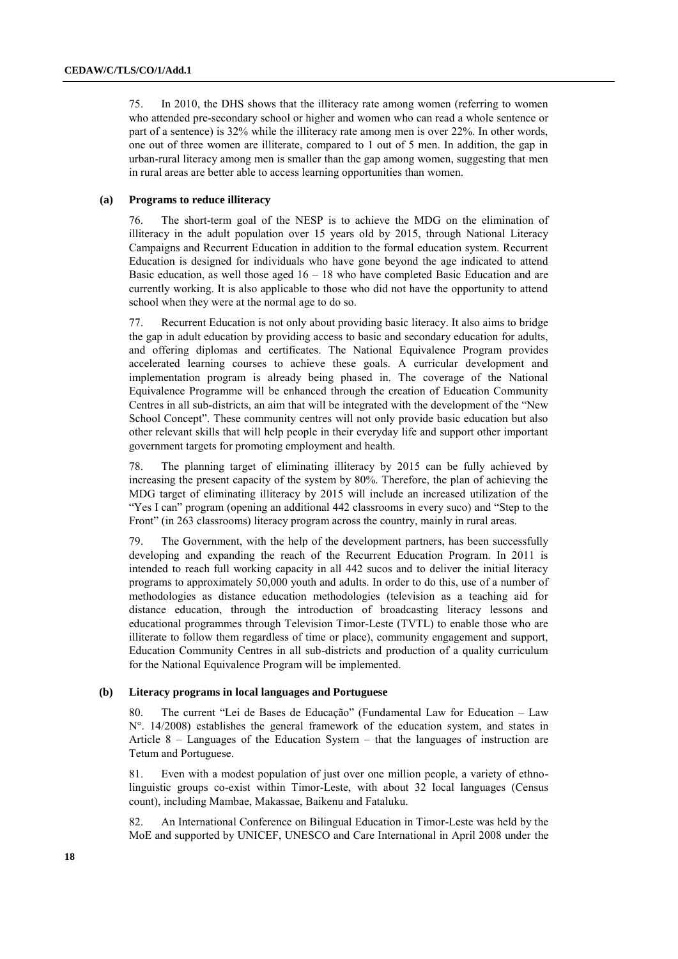75. In 2010, the DHS shows that the illiteracy rate among women (referring to women who attended pre-secondary school or higher and women who can read a whole sentence or part of a sentence) is 32% while the illiteracy rate among men is over 22%. In other words, one out of three women are illiterate, compared to 1 out of 5 men. In addition, the gap in urban-rural literacy among men is smaller than the gap among women, suggesting that men in rural areas are better able to access learning opportunities than women.

#### **(a) Programs to reduce illiteracy**

76. The short-term goal of the NESP is to achieve the MDG on the elimination of illiteracy in the adult population over 15 years old by 2015, through National Literacy Campaigns and Recurrent Education in addition to the formal education system. Recurrent Education is designed for individuals who have gone beyond the age indicated to attend Basic education, as well those aged  $16 - 18$  who have completed Basic Education and are currently working. It is also applicable to those who did not have the opportunity to attend school when they were at the normal age to do so.

77. Recurrent Education is not only about providing basic literacy. It also aims to bridge the gap in adult education by providing access to basic and secondary education for adults, and offering diplomas and certificates. The National Equivalence Program provides accelerated learning courses to achieve these goals. A curricular development and implementation program is already being phased in. The coverage of the National Equivalence Programme will be enhanced through the creation of Education Community Centres in all sub-districts, an aim that will be integrated with the development of the "New School Concept". These community centres will not only provide basic education but also other relevant skills that will help people in their everyday life and support other important government targets for promoting employment and health.

78. The planning target of eliminating illiteracy by 2015 can be fully achieved by increasing the present capacity of the system by 80%. Therefore, the plan of achieving the MDG target of eliminating illiteracy by 2015 will include an increased utilization of the "Yes I can" program (opening an additional 442 classrooms in every suco) and "Step to the Front" (in 263 classrooms) literacy program across the country, mainly in rural areas.

79. The Government, with the help of the development partners, has been successfully developing and expanding the reach of the Recurrent Education Program. In 2011 is intended to reach full working capacity in all 442 sucos and to deliver the initial literacy programs to approximately 50,000 youth and adults. In order to do this, use of a number of methodologies as distance education methodologies (television as a teaching aid for distance education, through the introduction of broadcasting literacy lessons and educational programmes through Television Timor-Leste (TVTL) to enable those who are illiterate to follow them regardless of time or place), community engagement and support, Education Community Centres in all sub-districts and production of a quality curriculum for the National Equivalence Program will be implemented.

#### **(b) Literacy programs in local languages and Portuguese**

80. The current "Lei de Bases de Educação" (Fundamental Law for Education – Law N°. 14/2008) establishes the general framework of the education system, and states in Article 8 – Languages of the Education System – that the languages of instruction are Tetum and Portuguese.

81. Even with a modest population of just over one million people, a variety of ethnolinguistic groups co-exist within Timor-Leste, with about 32 local languages (Census count), including Mambae, Makassae, Baikenu and Fataluku.

82. An International Conference on Bilingual Education in Timor-Leste was held by the MoE and supported by UNICEF, UNESCO and Care International in April 2008 under the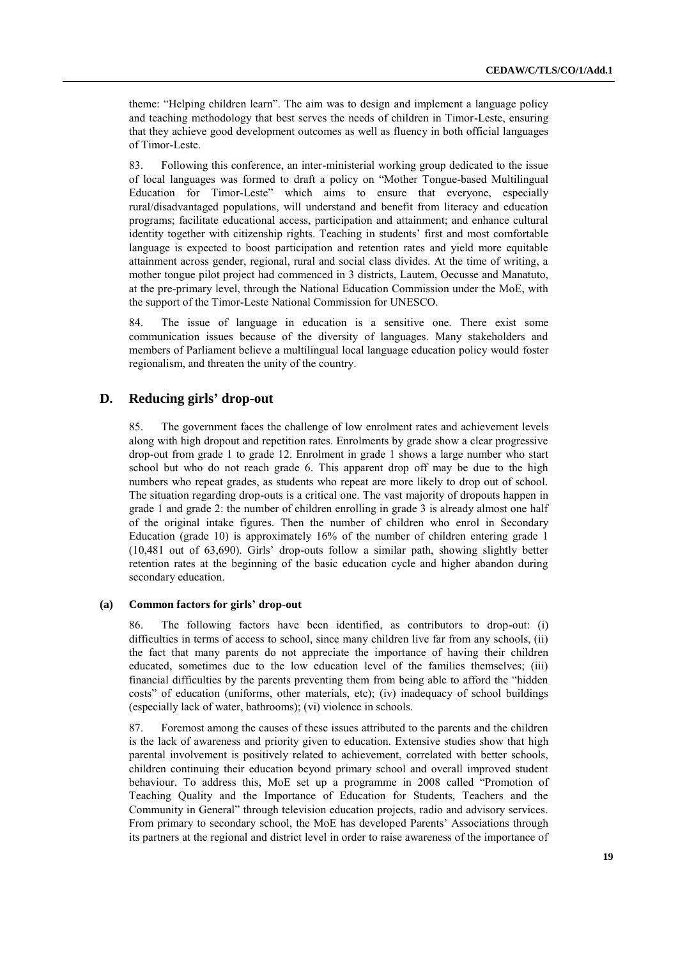theme: "Helping children learn". The aim was to design and implement a language policy and teaching methodology that best serves the needs of children in Timor-Leste, ensuring that they achieve good development outcomes as well as fluency in both official languages of Timor-Leste.

83. Following this conference, an inter-ministerial working group dedicated to the issue of local languages was formed to draft a policy on "Mother Tongue-based Multilingual Education for Timor-Leste" which aims to ensure that everyone, especially rural/disadvantaged populations, will understand and benefit from literacy and education programs; facilitate educational access, participation and attainment; and enhance cultural identity together with citizenship rights. Teaching in students' first and most comfortable language is expected to boost participation and retention rates and yield more equitable attainment across gender, regional, rural and social class divides. At the time of writing, a mother tongue pilot project had commenced in 3 districts, Lautem, Oecusse and Manatuto, at the pre-primary level, through the National Education Commission under the MoE, with the support of the Timor-Leste National Commission for UNESCO.

84. The issue of language in education is a sensitive one. There exist some communication issues because of the diversity of languages. Many stakeholders and members of Parliament believe a multilingual local language education policy would foster regionalism, and threaten the unity of the country.

## **D. Reducing girls' drop-out**

85. The government faces the challenge of low enrolment rates and achievement levels along with high dropout and repetition rates. Enrolments by grade show a clear progressive drop-out from grade 1 to grade 12. Enrolment in grade 1 shows a large number who start school but who do not reach grade 6. This apparent drop off may be due to the high numbers who repeat grades, as students who repeat are more likely to drop out of school. The situation regarding drop-outs is a critical one. The vast majority of dropouts happen in grade 1 and grade 2: the number of children enrolling in grade 3 is already almost one half of the original intake figures. Then the number of children who enrol in Secondary Education (grade 10) is approximately 16% of the number of children entering grade 1 (10,481 out of 63,690). Girls' drop-outs follow a similar path, showing slightly better retention rates at the beginning of the basic education cycle and higher abandon during secondary education.

### **(a) Common factors for girls' drop-out**

86. The following factors have been identified, as contributors to drop-out: (i) difficulties in terms of access to school, since many children live far from any schools, (ii) the fact that many parents do not appreciate the importance of having their children educated, sometimes due to the low education level of the families themselves; (iii) financial difficulties by the parents preventing them from being able to afford the "hidden costs" of education (uniforms, other materials, etc); (iv) inadequacy of school buildings (especially lack of water, bathrooms); (vi) violence in schools.

87. Foremost among the causes of these issues attributed to the parents and the children is the lack of awareness and priority given to education. Extensive studies show that high parental involvement is positively related to achievement, correlated with better schools, children continuing their education beyond primary school and overall improved student behaviour. To address this, MoE set up a programme in 2008 called "Promotion of Teaching Quality and the Importance of Education for Students, Teachers and the Community in General" through television education projects, radio and advisory services. From primary to secondary school, the MoE has developed Parents' Associations through its partners at the regional and district level in order to raise awareness of the importance of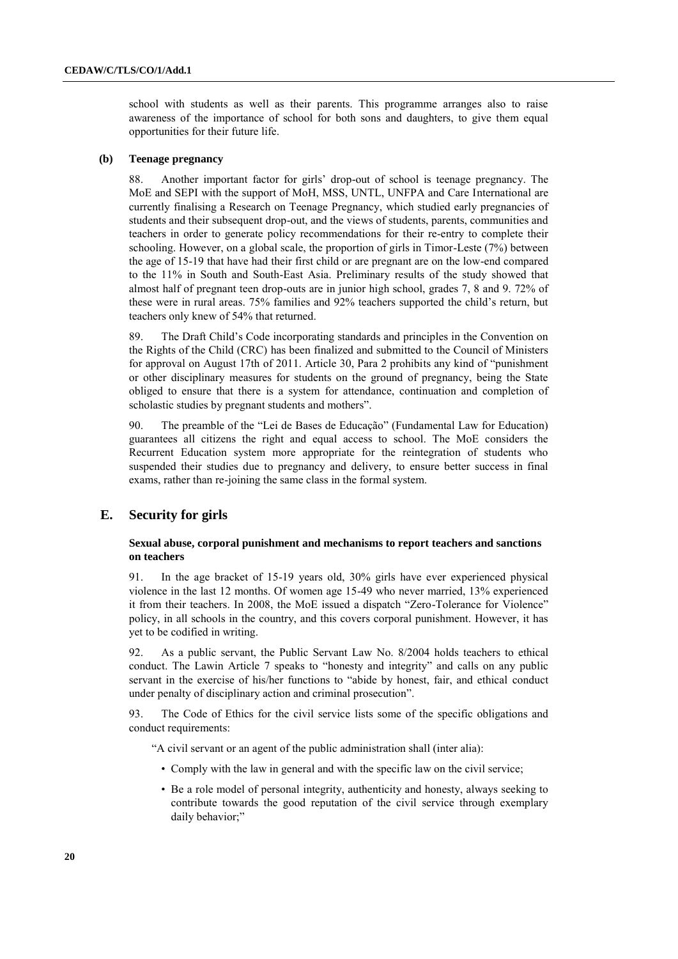school with students as well as their parents. This programme arranges also to raise awareness of the importance of school for both sons and daughters, to give them equal opportunities for their future life.

#### **(b) Teenage pregnancy**

88. Another important factor for girls' drop-out of school is teenage pregnancy. The MoE and SEPI with the support of MoH, MSS, UNTL, UNFPA and Care International are currently finalising a Research on Teenage Pregnancy, which studied early pregnancies of students and their subsequent drop-out, and the views of students, parents, communities and teachers in order to generate policy recommendations for their re-entry to complete their schooling. However, on a global scale, the proportion of girls in Timor-Leste (7%) between the age of 15-19 that have had their first child or are pregnant are on the low-end compared to the 11% in South and South-East Asia. Preliminary results of the study showed that almost half of pregnant teen drop-outs are in junior high school, grades 7, 8 and 9. 72% of these were in rural areas. 75% families and 92% teachers supported the child's return, but teachers only knew of 54% that returned.

89. The Draft Child's Code incorporating standards and principles in the Convention on the Rights of the Child (CRC) has been finalized and submitted to the Council of Ministers for approval on August 17th of 2011. Article 30, Para 2 prohibits any kind of "punishment or other disciplinary measures for students on the ground of pregnancy, being the State obliged to ensure that there is a system for attendance, continuation and completion of scholastic studies by pregnant students and mothers".

90. The preamble of the "Lei de Bases de Educação" (Fundamental Law for Education) guarantees all citizens the right and equal access to school. The MoE considers the Recurrent Education system more appropriate for the reintegration of students who suspended their studies due to pregnancy and delivery, to ensure better success in final exams, rather than re-joining the same class in the formal system.

#### **E. Security for girls**

#### **Sexual abuse, corporal punishment and mechanisms to report teachers and sanctions on teachers**

91. In the age bracket of 15-19 years old, 30% girls have ever experienced physical violence in the last 12 months. Of women age 15-49 who never married, 13% experienced it from their teachers. In 2008, the MoE issued a dispatch "Zero-Tolerance for Violence" policy, in all schools in the country, and this covers corporal punishment. However, it has yet to be codified in writing.

92. As a public servant, the Public Servant Law No. 8/2004 holds teachers to ethical conduct. The Lawin Article 7 speaks to "honesty and integrity" and calls on any public servant in the exercise of his/her functions to "abide by honest, fair, and ethical conduct under penalty of disciplinary action and criminal prosecution".

93. The Code of Ethics for the civil service lists some of the specific obligations and conduct requirements:

"A civil servant or an agent of the public administration shall (inter alia):

- Comply with the law in general and with the specific law on the civil service;
- Be a role model of personal integrity, authenticity and honesty, always seeking to contribute towards the good reputation of the civil service through exemplary daily behavior;"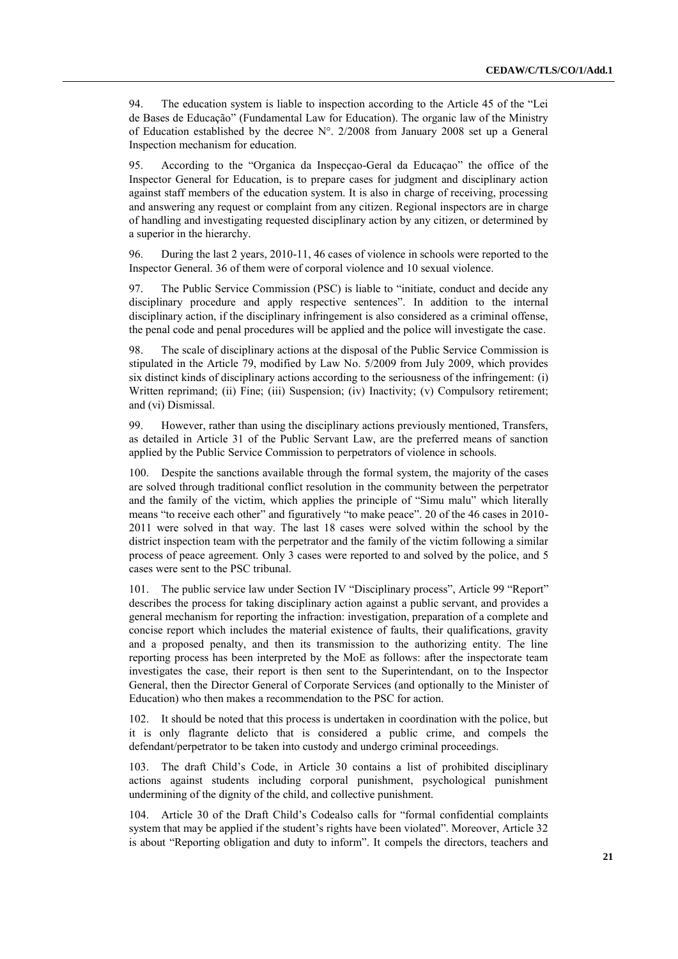94. The education system is liable to inspection according to the Article 45 of the "Lei de Bases de Educação" (Fundamental Law for Education). The organic law of the Ministry of Education established by the decree N°. 2/2008 from January 2008 set up a General Inspection mechanism for education.

95. According to the "Organica da Inspecçao-Geral da Educaçao" the office of the Inspector General for Education, is to prepare cases for judgment and disciplinary action against staff members of the education system. It is also in charge of receiving, processing and answering any request or complaint from any citizen. Regional inspectors are in charge of handling and investigating requested disciplinary action by any citizen, or determined by a superior in the hierarchy.

96. During the last 2 years, 2010-11, 46 cases of violence in schools were reported to the Inspector General. 36 of them were of corporal violence and 10 sexual violence.

97. The Public Service Commission (PSC) is liable to "initiate, conduct and decide any disciplinary procedure and apply respective sentences". In addition to the internal disciplinary action, if the disciplinary infringement is also considered as a criminal offense, the penal code and penal procedures will be applied and the police will investigate the case.

98. The scale of disciplinary actions at the disposal of the Public Service Commission is stipulated in the Article 79, modified by Law No. 5/2009 from July 2009, which provides six distinct kinds of disciplinary actions according to the seriousness of the infringement: (i) Written reprimand; (ii) Fine; (iii) Suspension; (iv) Inactivity; (v) Compulsory retirement; and (vi) Dismissal.

99. However, rather than using the disciplinary actions previously mentioned, Transfers, as detailed in Article 31 of the Public Servant Law, are the preferred means of sanction applied by the Public Service Commission to perpetrators of violence in schools.

100. Despite the sanctions available through the formal system, the majority of the cases are solved through traditional conflict resolution in the community between the perpetrator and the family of the victim, which applies the principle of "Simu malu" which literally means "to receive each other" and figuratively "to make peace". 20 of the 46 cases in 2010- 2011 were solved in that way. The last 18 cases were solved within the school by the district inspection team with the perpetrator and the family of the victim following a similar process of peace agreement. Only 3 cases were reported to and solved by the police, and 5 cases were sent to the PSC tribunal.

101. The public service law under Section IV "Disciplinary process", Article 99 "Report" describes the process for taking disciplinary action against a public servant, and provides a general mechanism for reporting the infraction: investigation, preparation of a complete and concise report which includes the material existence of faults, their qualifications, gravity and a proposed penalty, and then its transmission to the authorizing entity. The line reporting process has been interpreted by the MoE as follows: after the inspectorate team investigates the case, their report is then sent to the Superintendant, on to the Inspector General, then the Director General of Corporate Services (and optionally to the Minister of Education) who then makes a recommendation to the PSC for action.

102. It should be noted that this process is undertaken in coordination with the police, but it is only flagrante delicto that is considered a public crime, and compels the defendant/perpetrator to be taken into custody and undergo criminal proceedings.

103. The draft Child's Code, in Article 30 contains a list of prohibited disciplinary actions against students including corporal punishment, psychological punishment undermining of the dignity of the child, and collective punishment.

104. Article 30 of the Draft Child's Codealso calls for "formal confidential complaints system that may be applied if the student's rights have been violated". Moreover, Article 32 is about "Reporting obligation and duty to inform". It compels the directors, teachers and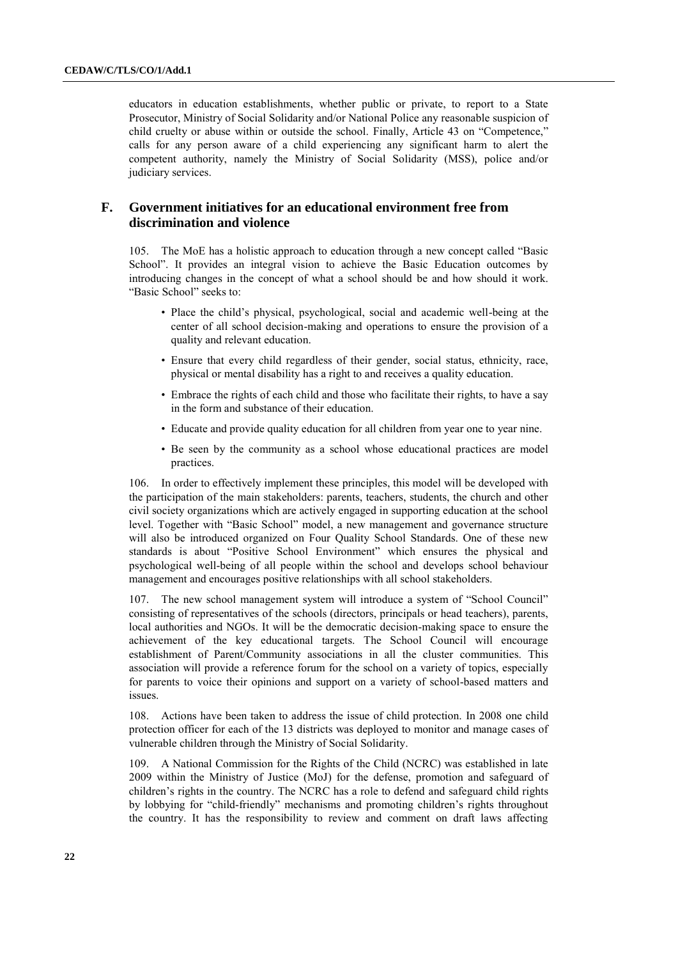educators in education establishments, whether public or private, to report to a State Prosecutor, Ministry of Social Solidarity and/or National Police any reasonable suspicion of child cruelty or abuse within or outside the school. Finally, Article 43 on "Competence," calls for any person aware of a child experiencing any significant harm to alert the competent authority, namely the Ministry of Social Solidarity (MSS), police and/or judiciary services.

## **F. Government initiatives for an educational environment free from discrimination and violence**

105. The MoE has a holistic approach to education through a new concept called "Basic School". It provides an integral vision to achieve the Basic Education outcomes by introducing changes in the concept of what a school should be and how should it work. "Basic School" seeks to:

- Place the child's physical, psychological, social and academic well-being at the center of all school decision-making and operations to ensure the provision of a quality and relevant education.
- Ensure that every child regardless of their gender, social status, ethnicity, race, physical or mental disability has a right to and receives a quality education.
- Embrace the rights of each child and those who facilitate their rights, to have a say in the form and substance of their education.
- Educate and provide quality education for all children from year one to year nine.
- Be seen by the community as a school whose educational practices are model practices.

106. In order to effectively implement these principles, this model will be developed with the participation of the main stakeholders: parents, teachers, students, the church and other civil society organizations which are actively engaged in supporting education at the school level. Together with "Basic School" model, a new management and governance structure will also be introduced organized on Four Quality School Standards. One of these new standards is about "Positive School Environment" which ensures the physical and psychological well-being of all people within the school and develops school behaviour management and encourages positive relationships with all school stakeholders.

107. The new school management system will introduce a system of "School Council" consisting of representatives of the schools (directors, principals or head teachers), parents, local authorities and NGOs. It will be the democratic decision-making space to ensure the achievement of the key educational targets. The School Council will encourage establishment of Parent/Community associations in all the cluster communities. This association will provide a reference forum for the school on a variety of topics, especially for parents to voice their opinions and support on a variety of school-based matters and issues.

Actions have been taken to address the issue of child protection. In 2008 one child protection officer for each of the 13 districts was deployed to monitor and manage cases of vulnerable children through the Ministry of Social Solidarity.

109. A National Commission for the Rights of the Child (NCRC) was established in late 2009 within the Ministry of Justice (MoJ) for the defense, promotion and safeguard of children's rights in the country. The NCRC has a role to defend and safeguard child rights by lobbying for "child-friendly" mechanisms and promoting children's rights throughout the country. It has the responsibility to review and comment on draft laws affecting